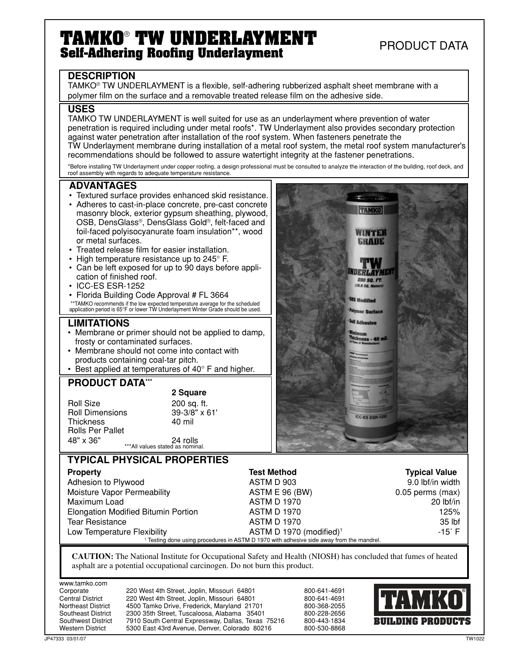# **TAMKO**®  **TW UNDERLAYMENT Self-Adhering Roofing Underlayment**

PRODUCT DATA

**TAMKO** 

WINTER GRADE

DERLAYM 200 SQ. FT.

**CC-ES ESR-12** 

## **DESCRIPTION**

TAMKO® TW UNDERLAYMENT is a flexible, self-adhering rubberized asphalt sheet membrane with a polymer film on the surface and a removable treated release film on the adhesive side.

### **USES**

TAMKO TW UNDERLAYMENT is well suited for use as an underlayment where prevention of water penetration is required including under metal roofs\*. TW Underlayment also provides secondary protection against water penetration after installation of the roof system. When fasteners penetrate the TW Underlayment membrane during installation of a metal roof system, the metal roof system manufacturer's recommendations should be followed to assure watertight integrity at the fastener penetrations.

\*Before installing TW Underlayment under copper roofing, a design professional must be consulted to analyze the interaction of the building, roof deck, and roof assembly with regards to adequate temperature resistance.

### **ADVANTAGES**

- Textured surface provides enhanced skid resistance. • Adheres to cast-in-place concrete, pre-cast concrete masonry block, exterior gypsum sheathing, plywood, OSB, DensGlass®, DensGlass Gold®, felt-faced and foil-faced polyisocyanurate foam insulation\*\*, wood
- or metal surfaces. • Treated release film for easier installation.
- High temperature resistance up to 245° F.
- Can be left exposed for up to 90 days before application of finished roof.
- ICC-ES ESR-1252
- Florida Building Code Approval # FL 3664 \*\*TAMKO recommends if the low expected temperature average for the scheduled application period is 65°F or lower TW Underlayment Winter Grade should be used.

### **LIMITATIONS**

- Membrane or primer should not be applied to damp, frosty or contaminated surfaces.
- Membrane should not come into contact with products containing coal-tar pitch.
- Best applied at temperatures of 40° F and higher.

# **PRODUCT DATA\*\*\***

Roll Size 200 sq. ft.<br>Roll Dimensions 39-3/8" x 61' Roll Dimensions 39-3/8<br>Thickness 40 mil **Thickness** Rolls Per Pallet

 **2 Square**

\*\*\*All values stated as nominal. 48" x 36" 24 rolls

## **TYPICAL PHYSICAL PROPERTIES**

| <b>Property</b>                            | <b>Test Method</b>                                                                                  | <b>Typical Value</b> |
|--------------------------------------------|-----------------------------------------------------------------------------------------------------|----------------------|
| Adhesion to Plywood                        | ASTM D 903                                                                                          | 9.0 lbf/in width     |
| Moisture Vapor Permeability                | ASTM E 96 (BW)                                                                                      | $0.05$ perms (max)   |
| Maximum Load                               | <b>ASTM D 1970</b>                                                                                  | $20$ lbf/in          |
| <b>Elongation Modified Bitumin Portion</b> | <b>ASTM D 1970</b>                                                                                  | 125%                 |
| <b>Tear Resistance</b>                     | <b>ASTM D 1970</b>                                                                                  | 35 lbf               |
| Low Temperature Flexibility                | ASTM D 1970 (modified) <sup>1</sup>                                                                 | $-15^\circ$ F        |
|                                            | <sup>1</sup> Testing done using procedures in ASTM D 1970 with adhesive side away from the mandrel. |                      |

**CAUTION:** The National Institute for Occupational Safety and Health (NIOSH) has concluded that fumes of heated asphalt are a potential occupational carcinogen. Do not burn this product.

www.tamko.com

Corporate 220 West 4th Street, Joplin, Missouri 64801 800-641-4691<br>Central District 220 West 4th Street, Joplin, Missouri 64801 800-641-4691 220 West 4th Street, Joplin, Missouri 64801 Northeast District 4500 Tamko Drive, Frederick, Maryland 21701 800-368-2055 Southeast District 2300 35th Street, Tuscaloosa, Alabama 35401 800-228-2656<br>Southwest District 7910 South Central Expressway, Dallas, Texas 75216 800-443-1834 7910 South Central Expressway, Dallas, Texas 75216 Western District and 5300 East 43rd Avenue, Denver, Colorado 80216 800-530-8868